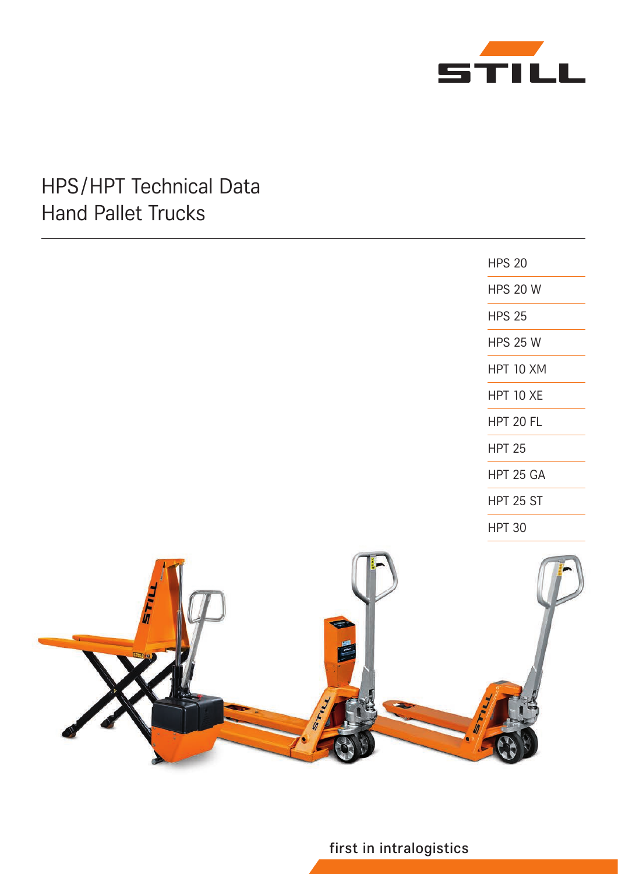

# HPS/HPT Technical Data Hand Pallet Trucks



first in intralogistics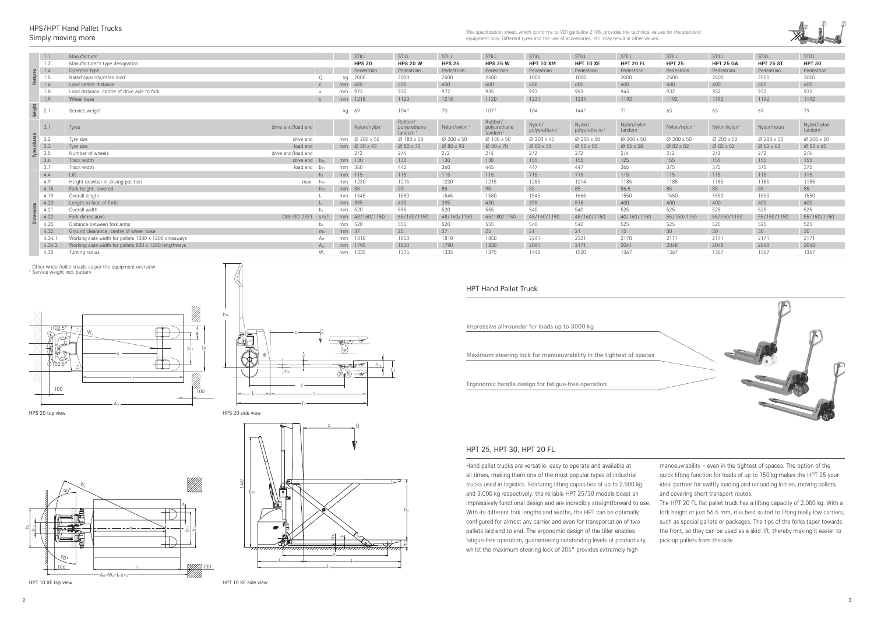







#### HPS/HPT Hand Pallet Trucks Simply moving more

This specification sheet, which conforms to VDI guideline 2198, provides the technical values for the standard equipment only. Different tyres and the use of accessories, etc. may result in other values.

#### HPT 25, HPT 30, HPT 20 FL

| <b>HPT Hand Pallet Truck</b>                   |                                                                     |
|------------------------------------------------|---------------------------------------------------------------------|
| Impressive all-rounder for loads up to 3000 kg |                                                                     |
|                                                | Maximum steering lock for manoeuvrability in the tightest of spaces |

Hand pallet trucks are versatile, easy to operate and available at all times, making them one of the most popular types of industrial trucks used in logistics. Featuring lifting capacities of up to 2,500 kg and 3,000 kg respectively, the reliable HPT 25/30 models boast an impressively functional design and are incredibly straightforward to use. With its different fork lengths and widths, the HPT can be optimally configured for almost any carrier and even for transportation of two pallets laid end to end. The ergonomic design of the tiller enables fatigue-free operation, guaranteeing outstanding levels of productivity, whilst the maximum steering lock of 205° provides extremely high manoeuvrability – even in the tightest of spaces. The option of the quick lifting function for loads of up to 150 kg makes the HPT 25 your ideal partner for swiftly loading and unloading lorries, moving pallets, and covering short transport routes. The HPT 20 FL flat pallet truck has a lifting capacity of 2,000 kg. With a fork height of just 56.5 mm, it is best suited to lifting really low carriers, such as special pallets or packages. The tips of the forks taper towards the front, so they can be used as a skid lift, thereby making it easier to pick up pallets from the side.





Ergonomic handle design for fatigue-free operation

|  | 1.1    | Manufacturer                                          |                 |    | <b>STILL</b>               | STILL                             | STILL         | <b>STILL</b>                                      | <b>STILL</b>                        | STILL                               | STILL                 | <b>STILL</b>  | STILL            | STILL            | STILL                 |
|--|--------|-------------------------------------------------------|-----------------|----|----------------------------|-----------------------------------|---------------|---------------------------------------------------|-------------------------------------|-------------------------------------|-----------------------|---------------|------------------|------------------|-----------------------|
|  | 1.2    | Manufacturer's type designation                       |                 |    | <b>HPS 20</b>              | <b>HPS 20 W</b>                   | <b>HPS 25</b> | <b>HPS 25 W</b>                                   | <b>HPT 10 XM</b>                    | <b>HPT 10 XE</b>                    | HPT 20 FL             | <b>HPT 25</b> | <b>HPT 25 GA</b> | <b>HPT 25 ST</b> | <b>HPT 30</b>         |
|  | 1.4    | Operator type                                         |                 |    | Pedestrian                 | Pedestrian                        | Pedestrian    | Pedestrian                                        | Pedestrian                          | Pedestrian                          | Pedestrian            | Pedestrian    | Pedestrian       | Pedestrian       | Pedestrian            |
|  | 1.5    | Rated capacity/rated load                             |                 | ka | 2000                       | 2000                              | 2500          | 2500                                              | 1000                                | 1000                                | 2000                  | 2500          | 2500             | 2500             | 3000                  |
|  | 1.6    | Load centre distance                                  | $\mathbb{C}$    | mm | 600                        | 600                               | 600           | 600                                               | 600                                 | 600                                 | 600                   | 600           | 600              | 600              | 600                   |
|  | 1.8    | Load distance, centre of drive axle to fork           |                 | mm | 972                        | 935                               | 972           | 935                                               | 993                                 | 993                                 | 945                   | 932           | 932              | 932              | 932                   |
|  | 1.9    | Wheel base                                            | V               | mm | 1218                       | 1120                              | 1218          | 1120                                              | 1231                                | 1231                                | 1192                  | 1192          | 1192             | 1192             | 1192                  |
|  | 2.1    | Service weight                                        |                 |    | kg 69                      | 104 <sup>2</sup>                  | 70            | 107 <sup>2</sup>                                  | 104                                 | 144 <sup>2</sup>                    | 71                    | 63            | 63               | 69               | 79                    |
|  | 3.1    | Tyres<br>drive end/load end                           |                 |    | Nylon/nylon                | Rubber/<br>polyurethane<br>tandem | Nylon/nylon   | Rubber/<br>polyurethane<br>$t$ andem <sup>1</sup> | Nylon/<br>polyurethane <sup>1</sup> | Nylon/<br>polyurethane <sup>1</sup> | Nylon/nylon<br>tandem | Nylon/nylon   | Nylon/nylon      | Nylon/nylon      | Nylon/nylon<br>tandem |
|  | 3.2    | drive end<br>Tyre size                                |                 |    |                            | Ø 180 x 50                        | Ø 200 x 50    | Ø 180 x 50                                        | Ø 200 x 45                          | Ø 200 x 50                          | Ø 200 x 50            | Ø 200 x 50    | Ø 200 x 50       | Ø 200 x 50       | Ø 200 x 50            |
|  | 3.3    | Tyre size<br>load end                                 |                 |    | $mm$ $\varnothing$ 80 x 93 | Ø 80 x 70                         | Ø 80 x 93     | Ø 80 x 70                                         | Ø 80 x 50                           | Ø 80 x 50                           | Ø 55 x 58             | Ø 82 x 82     | Ø 82 x 82        | Ø 82 x 82        | Ø 82 x 60             |
|  | 3.5    | Number of wheels<br>drive end/load end                |                 |    | 2/2                        | 2/4                               | 2/2           | 2/4                                               | 2/2                                 | 2/2                                 | 2/4                   | 2/2           | 2/2              | 2/2              | 2/4                   |
|  | 3.6    | Track width<br>drive end                              | $D_{10}$        | mm | 130                        | 130                               | 130           | 130                                               | 155                                 | 155                                 | 125                   | 155           | 155              | 155              | 155                   |
|  | 3.7    | Track width<br>load end                               | $D_{11}$        | mm | 360                        | 445                               | 360           | 445                                               | 447                                 | 447                                 | 365                   | 375           | 375              | 375              | 375                   |
|  | 4.4    | Lift                                                  | $h_3$           | mm | 115                        | 115                               | 115           | 115                                               | 715                                 | 715                                 | 115                   | 115           | 115              | 115              | 115                   |
|  | 4.9    | Height drawbar in driving position<br>max.            | $h_{14}$        | mm | 1230                       | 1215                              | 1230          | 1215                                              | 1285                                | 1214                                | 1185                  | 1185          | 1185             | 1185             | 1185                  |
|  | 4.15   | Fork height, lowered                                  | $h_{13}$        |    | mm 85                      | 90                                | 85            | 90                                                | 85                                  | 85                                  | 56,5                  | 85            | 85               | 85               | 85                    |
|  | 4.19   | Overall length                                        |                 | mm | 1545                       | 1580                              | 1545          | 1580                                              | 1545                                | 1665                                | 1550                  | 1550          | 1550             | 1550             | 1550                  |
|  | 4.20   | Length to face of forks                               | $\vert$         | mm | 395                        | 430                               | 395           | 430                                               | 395                                 | 515                                 | 400                   | 400           | 400              | 400              | 400                   |
|  | 4.21   | Overall width                                         |                 | mm | 520                        | 555                               | 520           | 555                                               | 540                                 | 540                                 | 525                   | 525           | 525              | 525              | 525                   |
|  | 4.22   | <b>DIN ISO 2331</b><br>Fork dimensions                | s/e/l           | mm | 48/160/1150                | 65/180/1150                       | 48/160/1150   | 65/180/1150                                       | 48/160/1150                         | 48/160/1150                         | 40/160/1150           | 55/150/1150   | 55/150/1150      | 55/150/1150      | 55/150/1150           |
|  | 4.25   | Distance between fork arms                            | D-              | mm | 520                        | 555                               | 520           | 555                                               | 540                                 | 540                                 | 525                   | 525           | 525              | 525              | 525                   |
|  | 4.32   | Ground clearance, centre of wheel base                | m <sub>2</sub>  | mm | 37                         | 25                                | 37            | 25                                                | 21                                  | 21                                  | 15                    | 30            | 30               | 30               | 30                    |
|  | 4.34   | Working aisle width for pallets 1000 x 1200 crossways | A <sub>ct</sub> | mm | 1810                       | 1850                              | 1810          | 1850                                              | 2241                                | 2321                                | 2170                  | 2171          | 2171             | 2171             | 2171                  |
|  | 4.34.2 | Working aisle width for pallets 800 x 1200 lengthways | $A_{st}$        | mm | 1790                       | 1830                              | 1790          | 1830                                              | 2091                                | 2171                                | 2041                  | 2048          | 2048             | 2048             | 2048                  |
|  | 4.35   | Turning radius                                        |                 | mm | 1335                       | 1375                              | 1335          | 1375                                              | 1440                                | 1520                                | 1367                  | 1367          | 1367             | 1367             | 1367                  |
|  |        |                                                       |                 |    |                            |                                   |               |                                                   |                                     |                                     |                       |               |                  |                  |                       |

<sup>1</sup> Other wheel/roller treads as per the equipment overview<br><sup>2</sup> Service weight incl. battery

HPT 10 XE side view

HPS 20 side view

HPT 10 XE top view

HPS 20 top view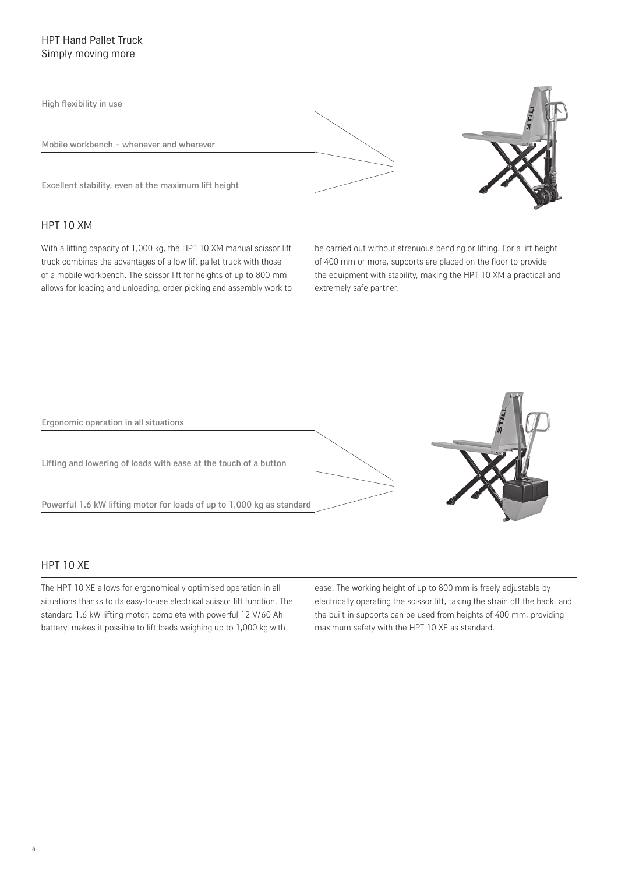High flexibility in use

Mobile workbench – whenever and wherever

Excellent stability, even at the maximum lift height

#### HPT 10 XM

With a lifting capacity of 1,000 kg, the HPT 10 XM manual scissor lift truck combines the advantages of a low lift pallet truck with those of a mobile workbench. The scissor lift for heights of up to 800 mm allows for loading and unloading, order picking and assembly work to be carried out without strenuous bending or lifting. For a lift height of 400 mm or more, supports are placed on the floor to provide the equipment with stability, making the HPT 10 XM a practical and extremely safe partner.



#### **HPT 10 XF**

The HPT 10 XE allows for ergonomically optimised operation in all situations thanks to its easy-to-use electrical scissor lift function. The standard 1.6 kW lifting motor, complete with powerful 12 V/60 Ah battery, makes it possible to lift loads weighing up to 1,000 kg with

ease. The working height of up to 800 mm is freely adjustable by electrically operating the scissor lift, taking the strain off the back, and the built-in supports can be used from heights of 400 mm, providing maximum safety with the HPT 10 XE as standard.

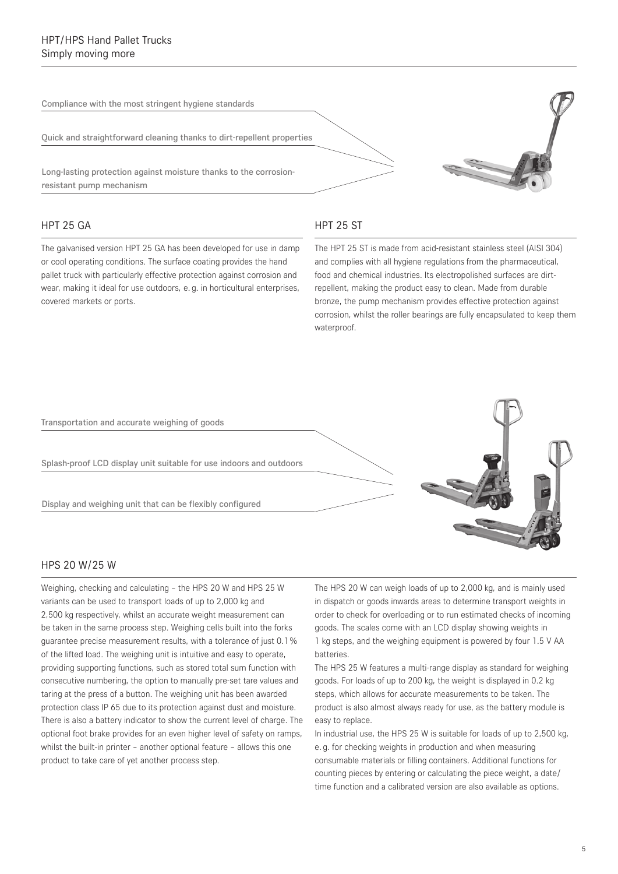Compliance with the most stringent hygiene standards

Quick and straightforward cleaning thanks to dirt-repellent properties

Long-lasting protection against moisture thanks to the corrosionresistant pump mechanism

#### HPT 25 GA

The galvanised version HPT 25 GA has been developed for use in damp or cool operating conditions. The surface coating provides the hand pallet truck with particularly effective protection against corrosion and wear, making it ideal for use outdoors, e. g. in horticultural enterprises, covered markets or ports.

#### HPT 25 ST

The HPT 25 ST is made from acid-resistant stainless steel (AISI 304) and complies with all hygiene regulations from the pharmaceutical, food and chemical industries. Its electropolished surfaces are dirtrepellent, making the product easy to clean. Made from durable bronze, the pump mechanism provides effective protection against corrosion, whilst the roller bearings are fully encapsulated to keep them waterproof.



#### HPS 20 W/25 W

Weighing, checking and calculating – the HPS 20 W and HPS 25 W variants can be used to transport loads of up to 2,000 kg and 2,500 kg respectively, whilst an accurate weight measurement can be taken in the same process step. Weighing cells built into the forks guarantee precise measurement results, with a tolerance of just 0.1 % of the lifted load. The weighing unit is intuitive and easy to operate, providing supporting functions, such as stored total sum function with consecutive numbering, the option to manually pre-set tare values and taring at the press of a button. The weighing unit has been awarded protection class IP 65 due to its protection against dust and moisture. There is also a battery indicator to show the current level of charge. The optional foot brake provides for an even higher level of safety on ramps, whilst the built-in printer – another optional feature – allows this one product to take care of yet another process step.

The HPS 20 W can weigh loads of up to 2,000 kg, and is mainly used in dispatch or goods inwards areas to determine transport weights in order to check for overloading or to run estimated checks of incoming goods. The scales come with an LCD display showing weights in 1 kg steps, and the weighing equipment is powered by four 1.5 V AA batteries.

The HPS 25 W features a multi-range display as standard for weighing goods. For loads of up to 200 kg, the weight is displayed in 0.2 kg steps, which allows for accurate measurements to be taken. The product is also almost always ready for use, as the battery module is easy to replace.

In industrial use, the HPS 25 W is suitable for loads of up to 2,500 kg, e. g. for checking weights in production and when measuring consumable materials or filling containers. Additional functions for counting pieces by entering or calculating the piece weight, a date/ time function and a calibrated version are also available as options.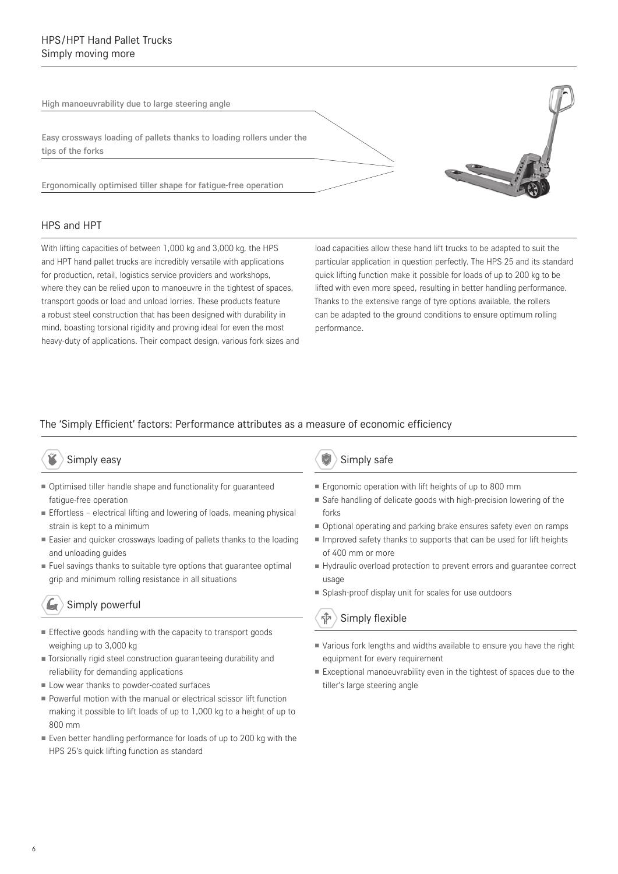High manoeuvrability due to large steering angle

Easy crossways loading of pallets thanks to loading rollers under the tips of the forks

Ergonomically optimised tiller shape for fatigue-free operation

#### HPS and HPT

With lifting capacities of between 1,000 kg and 3,000 kg, the HPS and HPT hand pallet trucks are incredibly versatile with applications for production, retail, logistics service providers and workshops, where they can be relied upon to manoeuvre in the tightest of spaces, transport goods or load and unload lorries. These products feature a robust steel construction that has been designed with durability in mind, boasting torsional rigidity and proving ideal for even the most heavy-duty of applications. Their compact design, various fork sizes and

load capacities allow these hand lift trucks to be adapted to suit the particular application in question perfectly. The HPS 25 and its standard quick lifting function make it possible for loads of up to 200 kg to be lifted with even more speed, resulting in better handling performance. Thanks to the extensive range of tyre options available, the rollers can be adapted to the ground conditions to ensure optimum rolling performance.

#### The 'Simply Efficient' factors: Performance attributes as a measure of economic efficiency

#### Simply easy

- Optimised tiller handle shape and functionality for quaranteed fatigue-free operation
- Effortless electrical lifting and lowering of loads, meaning physical strain is kept to a minimum
- Easier and quicker crossways loading of pallets thanks to the loading and unloading guides
- Fuel savings thanks to suitable tyre options that guarantee optimal grip and minimum rolling resistance in all situations

### Simply powerful

- Effective goods handling with the capacity to transport goods weighing up to 3,000 kg
- ■ Torsionally rigid steel construction guaranteeing durability and reliability for demanding applications
- Low wear thanks to powder-coated surfaces
- Powerful motion with the manual or electrical scissor lift function making it possible to lift loads of up to 1,000 kg to a height of up to 800 mm
- Even better handling performance for loads of up to 200 kg with the HPS 25's quick lifting function as standard

#### Simply safe

- Ergonomic operation with lift heights of up to 800 mm
- Safe handling of delicate goods with high-precision lowering of the forks
- Optional operating and parking brake ensures safety even on ramps
- Improved safety thanks to supports that can be used for lift heights of 400 mm or more
- Hydraulic overload protection to prevent errors and quarantee correct usage
- Splash-proof display unit for scales for use outdoors

#### ন্ীস Simply flexible

- ■ Various fork lengths and widths available to ensure you have the right equipment for every requirement
- Exceptional manoeuvrability even in the tightest of spaces due to the tiller's large steering angle

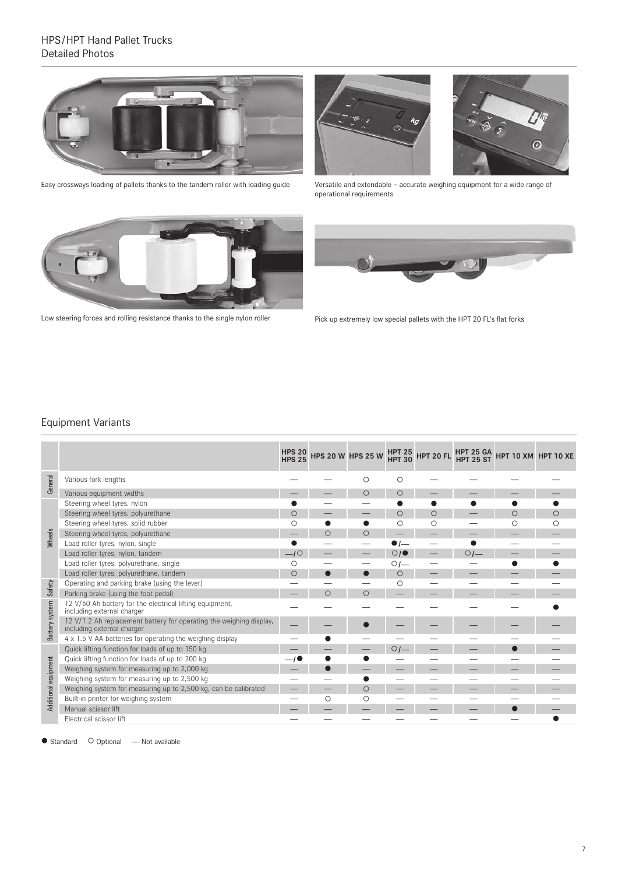#### HPS/HPT Hand Pallet Trucks Detailed Photos



Easy crossways loading of pallets thanks to the tandem roller with loading guide



Versatile and extendable – accurate weighing equipment for a wide range of operational requirements



Low steering forces and rolling resistance thanks to the single nylon roller



Pick up extremely low special pallets with the HPT 20 FL's flat forks

#### Equipment Variants

|                      |                                                                                                   | <b>HPS 20</b><br><b>HPS 25</b> |            | <b>HPS 20 W HPS 25 W</b> |                | HPT 25 HPT 20 FL |                | HPT 25 GA HPT 10 XM HPT 10 XE |         |
|----------------------|---------------------------------------------------------------------------------------------------|--------------------------------|------------|--------------------------|----------------|------------------|----------------|-------------------------------|---------|
| General              | Various fork lengths                                                                              |                                |            | O                        | О              |                  |                |                               |         |
|                      | Various equipment widths                                                                          |                                |            | O                        | O              |                  |                |                               |         |
|                      | Steering wheel tyres, nylon                                                                       |                                |            |                          |                |                  |                |                               |         |
|                      | Steering wheel tyres, polyurethane                                                                | ∩                              |            |                          | O              | $\circ$          |                | $\circ$                       | $\circ$ |
|                      | Steering wheel tyres, solid rubber                                                                |                                |            |                          | О              | О                |                | Ω                             | ∩       |
| Wheels               | Steering wheel tyres, polyurethane                                                                |                                | $\circ$    | $\circ$                  |                |                  |                |                               |         |
|                      | Load roller tyres, nylon, single                                                                  |                                |            |                          |                |                  |                |                               |         |
|                      | Load roller tyres, nylon, tandem                                                                  | $-10$                          |            |                          | O/I            |                  | O <sub>1</sub> |                               |         |
|                      | Load roller tyres, polyurethane, single                                                           | ∩                              |            |                          | OI             |                  |                |                               |         |
|                      | Load roller tyres, polyurethane, tandem                                                           | ∩                              |            |                          | O              |                  |                |                               |         |
| Safety               | Operating and parking brake (using the lever)                                                     |                                |            |                          | О              |                  |                |                               |         |
|                      | Parking brake (using the foot pedal)                                                              |                                | $\bigcirc$ | $\circ$                  |                |                  |                |                               |         |
|                      | 12 V/60 Ah battery for the electrical lifting equipment,<br>including external charger            |                                |            |                          |                |                  |                |                               |         |
| Battery system       | 12 V/1.2 Ah replacement battery for operating the weighing display,<br>including external charger |                                |            |                          |                |                  |                |                               |         |
|                      | 4 x 1.5 V AA batteries for operating the weighing display                                         |                                |            |                          |                |                  |                |                               |         |
|                      | Quick lifting function for loads of up to 150 kg                                                  |                                |            |                          | O <sub>1</sub> |                  |                |                               |         |
|                      | Ouick lifting function for loads of up to 200 kg                                                  |                                |            |                          |                |                  |                |                               |         |
|                      | Weighing system for measuring up to 2,000 kg                                                      |                                |            |                          |                |                  |                |                               |         |
|                      | Weighing system for measuring up to 2,500 kg                                                      |                                |            |                          |                |                  |                |                               |         |
| Additional equipment | Weighing system for measuring up to 2,500 kg, can be calibrated                                   |                                |            | $\circ$                  |                |                  |                |                               |         |
|                      | Built-in printer for weighing system                                                              |                                | ∩          | О                        |                |                  |                |                               |         |
|                      | Manual scissor lift                                                                               |                                |            |                          |                |                  |                |                               |         |
|                      | Electrical scissor lift                                                                           |                                |            |                          |                |                  |                |                               |         |

● Standard ○ Optional — Not available